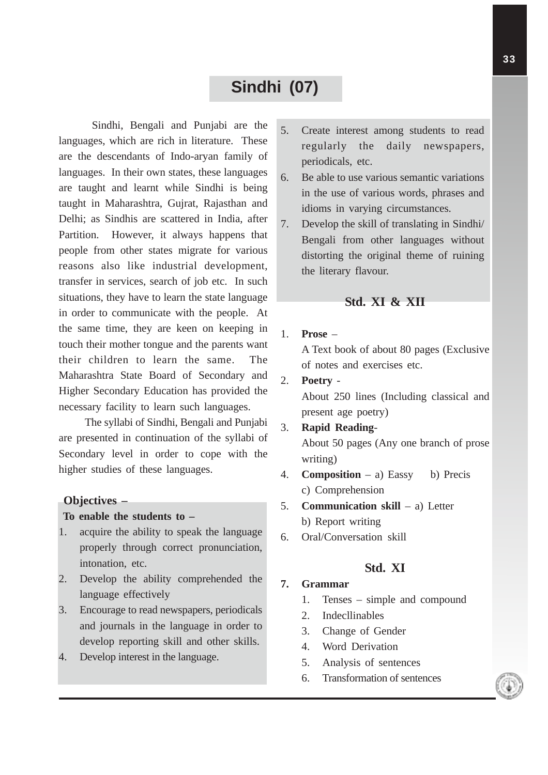## **Sindhi (07)**

Sindhi, Bengali and Punjabi are the languages, which are rich in literature. These are the descendants of Indo-aryan family of languages. In their own states, these languages are taught and learnt while Sindhi is being taught in Maharashtra, Gujrat, Rajasthan and Delhi; as Sindhis are scattered in India, after Partition. However, it always happens that people from other states migrate for various reasons also like industrial development, transfer in services, search of job etc. In such situations, they have to learn the state language in order to communicate with the people. At the same time, they are keen on keeping in touch their mother tongue and the parents want their children to learn the same. The Maharashtra State Board of Secondary and Higher Secondary Education has provided the necessary facility to learn such languages.

The syllabi of Sindhi, Bengali and Punjabi are presented in continuation of the syllabi of Secondary level in order to cope with the higher studies of these languages.

#### **Objectives –**

#### **To enable the students to –**

- 1. acquire the ability to speak the language properly through correct pronunciation, intonation, etc.
- 2. Develop the ability comprehended the language effectively
- 3. Encourage to read newspapers, periodicals and journals in the language in order to develop reporting skill and other skills.
- 4. Develop interest in the language.
- 5. Create interest among students to read regularly the daily newspapers, periodicals, etc.
- 6. Be able to use various semantic variations in the use of various words, phrases and idioms in varying circumstances.
- 7. Develop the skill of translating in Sindhi/ Bengali from other languages without distorting the original theme of ruining the literary flavour.

### **Std. XI & XII**

1. **Prose** –

A Text book of about 80 pages (Exclusive of notes and exercises etc.

2. **Poetry** -

About 250 lines (Including classical and present age poetry)

- 3. **Rapid Reading**-About 50 pages (Any one branch of prose writing)
- 4. **Composition** a) Eassy b) Precis c) Comprehension
- 5. **Communication skill** a) Letter
	- b) Report writing
- 6. Oral/Conversation skill

## **Std. XI**

### **7. Grammar**

- 1. Tenses simple and compound
- 2. Indecllinables
- 3. Change of Gender
- 4. Word Derivation
- 5. Analysis of sentences
- 6. Transformation of sentences